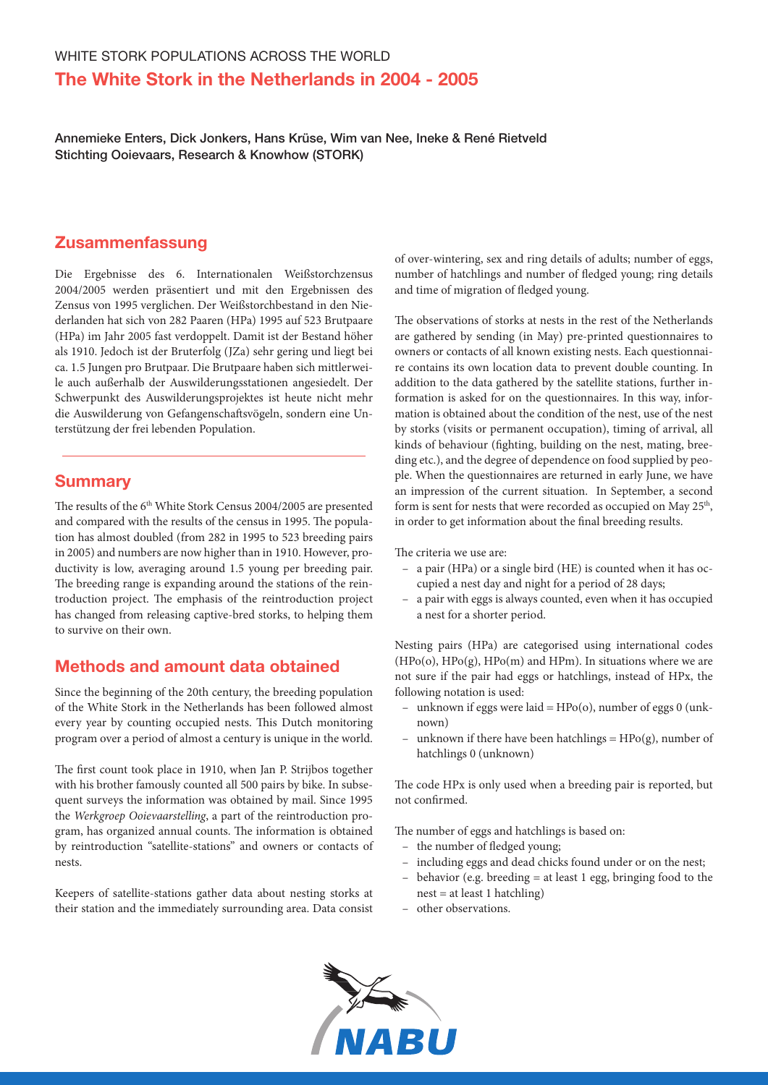Annemieke Enters, Dick Jonkers, Hans Krüse, Wim van Nee, Ineke & René Rietveld Stichting Ooievaars, Research & Knowhow (STORK)

## **Zusammenfassung**

Die Ergebnisse des 6. Internationalen Weißstorchzensus 2004/2005 werden präsentiert und mit den Ergebnissen des Zensus von 1995 verglichen. Der Weißstorchbestand in den Niederlanden hat sich von 282 Paaren (HPa) 1995 auf 523 Brutpaare (HPa) im Jahr 2005 fast verdoppelt. Damit ist der Bestand höher als 1910. Jedoch ist der Bruterfolg (JZa) sehr gering und liegt bei ca. 1.5 Jungen pro Brutpaar. Die Brutpaare haben sich mittlerweile auch außerhalb der Auswilderungsstationen angesiedelt. Der Schwerpunkt des Auswilderungsprojektes ist heute nicht mehr die Auswilderung von Gefangenschaftsvögeln, sondern eine Unterstützung der frei lebenden Population.

### **Summary**

The results of the 6<sup>th</sup> White Stork Census 2004/2005 are presented and compared with the results of the census in 1995. The population has almost doubled (from 282 in 1995 to 523 breeding pairs in 2005) and numbers are now higher than in 1910. However, productivity is low, averaging around 1.5 young per breeding pair. The breeding range is expanding around the stations of the reintroduction project. The emphasis of the reintroduction project has changed from releasing captive-bred storks, to helping them to survive on their own.

## Methods and amount data obtained

Since the beginning of the 20th century, the breeding population of the White Stork in the Netherlands has been followed almost every year by counting occupied nests. This Dutch monitoring program over a period of almost a century is unique in the world.

The first count took place in 1910, when Jan P. Strijbos together with his brother famously counted all 500 pairs by bike. In subsequent surveys the information was obtained by mail. Since 1995 the *Werkgroep Ooievaarstelling*, a part of the reintroduction program, has organized annual counts. The information is obtained by reintroduction "satellite-stations" and owners or contacts of nests.

Keepers of satellite-stations gather data about nesting storks at their station and the immediately surrounding area. Data consist of over-wintering, sex and ring details of adults; number of eggs, number of hatchlings and number of fledged young; ring details and time of migration of fledged young.

The observations of storks at nests in the rest of the Netherlands are gathered by sending (in May) pre-printed questionnaires to owners or contacts of all known existing nests. Each questionnaire contains its own location data to prevent double counting. In addition to the data gathered by the satellite stations, further information is asked for on the questionnaires. In this way, information is obtained about the condition of the nest, use of the nest by storks (visits or permanent occupation), timing of arrival, all kinds of behaviour (fighting, building on the nest, mating, breeding etc.), and the degree of dependence on food supplied by people. When the questionnaires are returned in early June, we have an impression of the current situation. In September, a second form is sent for nests that were recorded as occupied on May 25<sup>th</sup>, in order to get information about the final breeding results.

The criteria we use are:

- a pair (HPa) or a single bird (HE) is counted when it has occupied a nest day and night for a period of 28 days;
- a pair with eggs is always counted, even when it has occupied a nest for a shorter period.

Nesting pairs (HPa) are categorised using international codes  $(HPo(o), HPo(g), HPo(m)$  and  $HPm)$ . In situations where we are not sure if the pair had eggs or hatchlings, instead of HPx, the following notation is used:

- unknown if eggs were laid = HPo(o), number of eggs 0 (unknown)
- unknown if there have been hatchlings =  $HPo(g)$ , number of hatchlings 0 (unknown)

The code HPx is only used when a breeding pair is reported, but not confirmed.

The number of eggs and hatchlings is based on:

- the number of fledged young;
- including eggs and dead chicks found under or on the nest;
- behavior (e.g. breeding = at least 1 egg, bringing food to the nest = at least 1 hatchling)
- other observations.

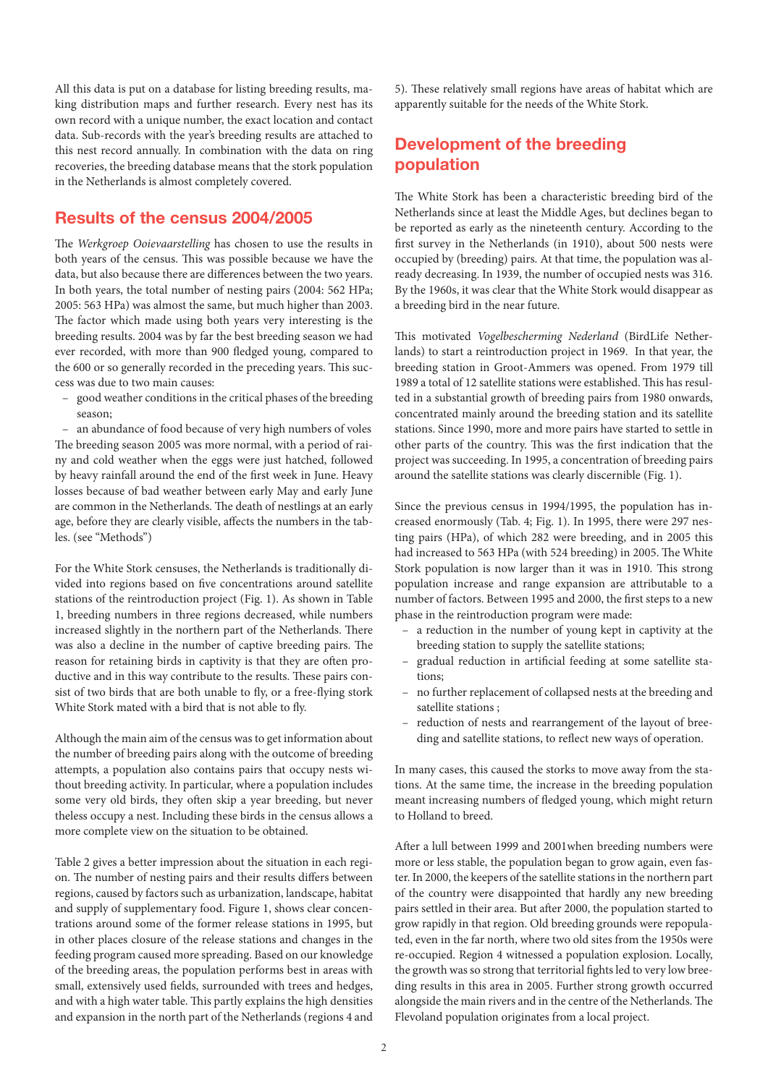All this data is put on a database for listing breeding results, making distribution maps and further research. Every nest has its own record with a unique number, the exact location and contact data. Sub-records with the year's breeding results are attached to this nest record annually. In combination with the data on ring recoveries, the breeding database means that the stork population in the Netherlands is almost completely covered.

## Results of the census 2004/2005

The *Werkgroep Ooievaarstelling* has chosen to use the results in both years of the census. This was possible because we have the data, but also because there are differences between the two years. In both years, the total number of nesting pairs (2004: 562 HPa; 2005: 563 HPa) was almost the same, but much higher than 2003. The factor which made using both years very interesting is the breeding results. 2004 was by far the best breeding season we had ever recorded, with more than 900 fledged young, compared to the 600 or so generally recorded in the preceding years. This success was due to two main causes:

– good weather conditions in the critical phases of the breeding season;

– an abundance of food because of very high numbers of voles The breeding season 2005 was more normal, with a period of rainy and cold weather when the eggs were just hatched, followed by heavy rainfall around the end of the first week in June. Heavy losses because of bad weather between early May and early June are common in the Netherlands. The death of nestlings at an early age, before they are clearly visible, affects the numbers in the tables. (see "Methods")

For the White Stork censuses, the Netherlands is traditionally divided into regions based on five concentrations around satellite stations of the reintroduction project (Fig. 1). As shown in Table 1, breeding numbers in three regions decreased, while numbers increased slightly in the northern part of the Netherlands. There was also a decline in the number of captive breeding pairs. The reason for retaining birds in captivity is that they are often productive and in this way contribute to the results. These pairs consist of two birds that are both unable to fly, or a free-flying stork White Stork mated with a bird that is not able to fly.

Although the main aim of the census was to get information about the number of breeding pairs along with the outcome of breeding attempts, a population also contains pairs that occupy nests without breeding activity. In particular, where a population includes some very old birds, they often skip a year breeding, but never theless occupy a nest. Including these birds in the census allows a more complete view on the situation to be obtained.

Table 2 gives a better impression about the situation in each region. The number of nesting pairs and their results differs between regions, caused by factors such as urbanization, landscape, habitat and supply of supplementary food. Figure 1, shows clear concentrations around some of the former release stations in 1995, but in other places closure of the release stations and changes in the feeding program caused more spreading. Based on our knowledge of the breeding areas, the population performs best in areas with small, extensively used fields, surrounded with trees and hedges, and with a high water table. This partly explains the high densities and expansion in the north part of the Netherlands (regions 4 and 5). These relatively small regions have areas of habitat which are apparently suitable for the needs of the White Stork.

## Development of the breeding population

The White Stork has been a characteristic breeding bird of the Netherlands since at least the Middle Ages, but declines began to be reported as early as the nineteenth century. According to the first survey in the Netherlands (in 1910), about 500 nests were occupied by (breeding) pairs. At that time, the population was already decreasing. In 1939, the number of occupied nests was 316. By the 1960s, it was clear that the White Stork would disappear as a breeding bird in the near future.

This motivated *Vogelbescherming Nederland* (BirdLife Netherlands) to start a reintroduction project in 1969. In that year, the breeding station in Groot-Ammers was opened. From 1979 till 1989 a total of 12 satellite stations were established. This has resulted in a substantial growth of breeding pairs from 1980 onwards, concentrated mainly around the breeding station and its satellite stations. Since 1990, more and more pairs have started to settle in other parts of the country. This was the first indication that the project was succeeding. In 1995, a concentration of breeding pairs around the satellite stations was clearly discernible (Fig. 1).

Since the previous census in 1994/1995, the population has increased enormously (Tab. 4; Fig. 1). In 1995, there were 297 nesting pairs (HPa), of which 282 were breeding, and in 2005 this had increased to 563 HPa (with 524 breeding) in 2005. The White Stork population is now larger than it was in 1910. This strong population increase and range expansion are attributable to a number of factors. Between 1995 and 2000, the first steps to a new phase in the reintroduction program were made:

- a reduction in the number of young kept in captivity at the breeding station to supply the satellite stations;
- gradual reduction in artificial feeding at some satellite stations;
- no further replacement of collapsed nests at the breeding and satellite stations ;
- reduction of nests and rearrangement of the layout of breeding and satellite stations, to reflect new ways of operation.

In many cases, this caused the storks to move away from the stations. At the same time, the increase in the breeding population meant increasing numbers of fledged young, which might return to Holland to breed.

After a lull between 1999 and 2001when breeding numbers were more or less stable, the population began to grow again, even faster. In 2000, the keepers of the satellite stations in the northern part of the country were disappointed that hardly any new breeding pairs settled in their area. But after 2000, the population started to grow rapidly in that region. Old breeding grounds were repopulated, even in the far north, where two old sites from the 1950s were re-occupied. Region 4 witnessed a population explosion. Locally, the growth was so strong that territorial fights led to very low breeding results in this area in 2005. Further strong growth occurred alongside the main rivers and in the centre of the Netherlands. The Flevoland population originates from a local project.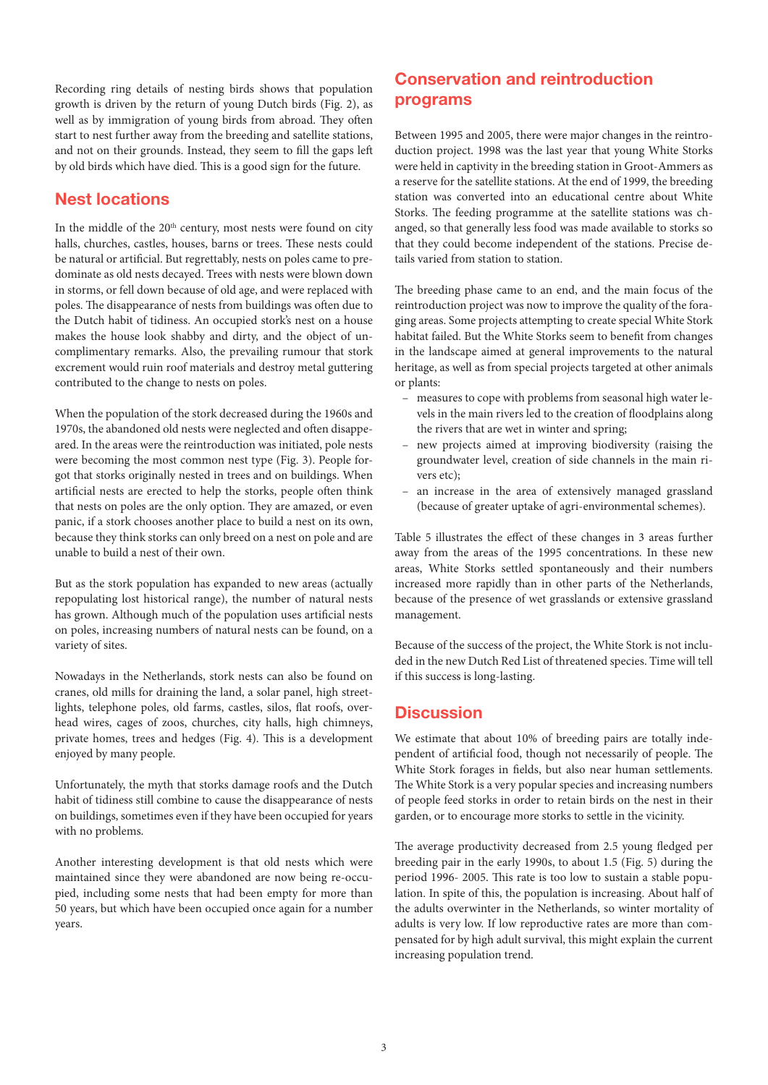Recording ring details of nesting birds shows that population growth is driven by the return of young Dutch birds (Fig. 2), as well as by immigration of young birds from abroad. They often start to nest further away from the breeding and satellite stations, and not on their grounds. Instead, they seem to fill the gaps left by old birds which have died. This is a good sign for the future.

### Nest locations

In the middle of the 20<sup>th</sup> century, most nests were found on city halls, churches, castles, houses, barns or trees. These nests could be natural or artificial. But regrettably, nests on poles came to predominate as old nests decayed. Trees with nests were blown down in storms, or fell down because of old age, and were replaced with poles. The disappearance of nests from buildings was often due to the Dutch habit of tidiness. An occupied stork's nest on a house makes the house look shabby and dirty, and the object of uncomplimentary remarks. Also, the prevailing rumour that stork excrement would ruin roof materials and destroy metal guttering contributed to the change to nests on poles.

When the population of the stork decreased during the 1960s and 1970s, the abandoned old nests were neglected and often disappeared. In the areas were the reintroduction was initiated, pole nests were becoming the most common nest type (Fig. 3). People forgot that storks originally nested in trees and on buildings. When artificial nests are erected to help the storks, people often think that nests on poles are the only option. They are amazed, or even panic, if a stork chooses another place to build a nest on its own, because they think storks can only breed on a nest on pole and are unable to build a nest of their own.

But as the stork population has expanded to new areas (actually repopulating lost historical range), the number of natural nests has grown. Although much of the population uses artificial nests on poles, increasing numbers of natural nests can be found, on a variety of sites.

Nowadays in the Netherlands, stork nests can also be found on cranes, old mills for draining the land, a solar panel, high streetlights, telephone poles, old farms, castles, silos, flat roofs, overhead wires, cages of zoos, churches, city halls, high chimneys, private homes, trees and hedges (Fig. 4). This is a development enjoyed by many people.

Unfortunately, the myth that storks damage roofs and the Dutch habit of tidiness still combine to cause the disappearance of nests on buildings, sometimes even if they have been occupied for years with no problems.

Another interesting development is that old nests which were maintained since they were abandoned are now being re-occupied, including some nests that had been empty for more than 50 years, but which have been occupied once again for a number years.

# Conservation and reintroduction programs

Between 1995 and 2005, there were major changes in the reintroduction project. 1998 was the last year that young White Storks were held in captivity in the breeding station in Groot-Ammers as a reserve for the satellite stations. At the end of 1999, the breeding station was converted into an educational centre about White Storks. The feeding programme at the satellite stations was changed, so that generally less food was made available to storks so that they could become independent of the stations. Precise details varied from station to station.

The breeding phase came to an end, and the main focus of the reintroduction project was now to improve the quality of the foraging areas. Some projects attempting to create special White Stork habitat failed. But the White Storks seem to benefit from changes in the landscape aimed at general improvements to the natural heritage, as well as from special projects targeted at other animals or plants:

- measures to cope with problems from seasonal high water levels in the main rivers led to the creation of floodplains along the rivers that are wet in winter and spring;
- new projects aimed at improving biodiversity (raising the groundwater level, creation of side channels in the main rivers etc);
- an increase in the area of extensively managed grassland (because of greater uptake of agri-environmental schemes).

Table 5 illustrates the effect of these changes in 3 areas further away from the areas of the 1995 concentrations. In these new areas, White Storks settled spontaneously and their numbers increased more rapidly than in other parts of the Netherlands, because of the presence of wet grasslands or extensive grassland management.

Because of the success of the project, the White Stork is not included in the new Dutch Red List of threatened species. Time will tell if this success is long-lasting.

## **Discussion**

We estimate that about 10% of breeding pairs are totally independent of artificial food, though not necessarily of people. The White Stork forages in fields, but also near human settlements. The White Stork is a very popular species and increasing numbers of people feed storks in order to retain birds on the nest in their garden, or to encourage more storks to settle in the vicinity.

The average productivity decreased from 2.5 young fledged per breeding pair in the early 1990s, to about 1.5 (Fig. 5) during the period 1996- 2005. This rate is too low to sustain a stable population. In spite of this, the population is increasing. About half of the adults overwinter in the Netherlands, so winter mortality of adults is very low. If low reproductive rates are more than compensated for by high adult survival, this might explain the current increasing population trend.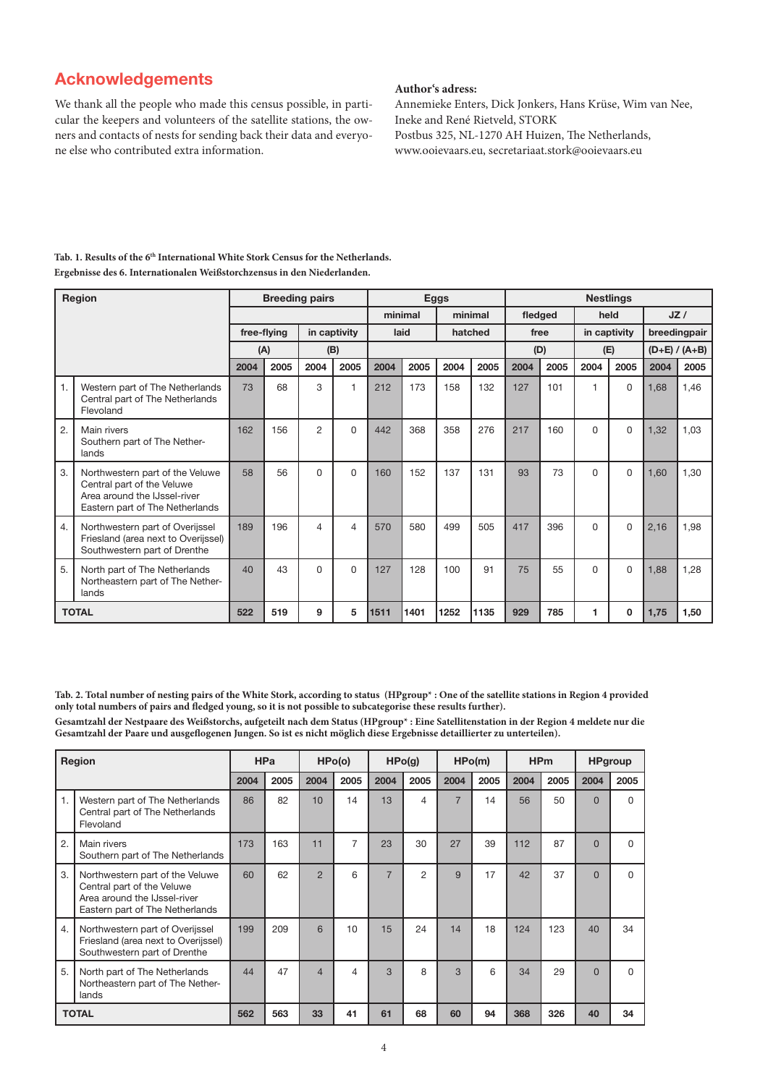# Acknowledgements

We thank all the people who made this census possible, in particular the keepers and volunteers of the satellite stations, the owners and contacts of nests for sending back their data and everyone else who contributed extra information.

#### **Author's adress:**

Annemieke Enters, Dick Jonkers, Hans Krüse, Wim van Nee, Ineke and René Rietveld, STORK Postbus 325, NL-1270 AH Huizen, The Netherlands, www.ooievaars.eu, secretariaat.stork@ooievaars.eu

| <b>Region</b>  |                                                                                                                                  |      | <b>Breeding pairs</b>       |                |                 |         |      | <b>Eggs</b> |      | <b>Nestlings</b> |      |              |          |                 |      |
|----------------|----------------------------------------------------------------------------------------------------------------------------------|------|-----------------------------|----------------|-----------------|---------|------|-------------|------|------------------|------|--------------|----------|-----------------|------|
|                |                                                                                                                                  |      |                             |                |                 | minimal |      | minimal     |      | fledged          |      | held         |          | JZ/             |      |
|                |                                                                                                                                  |      | free-flying<br>in captivity |                | hatched<br>laid |         |      | free        |      | in captivity     |      | breedingpair |          |                 |      |
|                |                                                                                                                                  |      | (A)                         | (B)            |                 |         |      |             |      | (D)              |      | (E)          |          | $(D+E) / (A+B)$ |      |
|                |                                                                                                                                  | 2004 | 2005                        | 2004           | 2005            | 2004    | 2005 | 2004        | 2005 | 2004             | 2005 | 2004         | 2005     | 2004            | 2005 |
| $\mathbf{1}$ . | Western part of The Netherlands<br>Central part of The Netherlands<br>Flevoland                                                  | 73   | 68                          | 3              | 1               | 212     | 173  | 158         | 132  | 127              | 101  | 1            | $\Omega$ | 1,68            | 1,46 |
| 2.             | Main rivers<br>Southern part of The Nether-<br>lands                                                                             | 162  | 156                         | $\overline{2}$ | 0               | 442     | 368  | 358         | 276  | 217              | 160  | 0            | 0        | 1,32            | 1,03 |
| 3.             | Northwestern part of the Veluwe<br>Central part of the Veluwe<br>Area around the IJssel-river<br>Eastern part of The Netherlands | 58   | 56                          | 0              | $\Omega$        | 160     | 152  | 137         | 131  | 93               | 73   | $\Omega$     | $\Omega$ | 1,60            | 1,30 |
| 4.             | Northwestern part of Overijssel<br>Friesland (area next to Overijssel)<br>Southwestern part of Drenthe                           | 189  | 196                         | 4              | $\overline{4}$  | 570     | 580  | 499         | 505  | 417              | 396  | $\Omega$     | $\Omega$ | 2,16            | 1,98 |
| 5.             | North part of The Netherlands<br>Northeastern part of The Nether-<br>lands                                                       | 40   | 43                          | 0              | 0               | 127     | 128  | 100         | 91   | 75               | 55   | $\Omega$     | $\Omega$ | 1,88            | 1,28 |
|                | <b>TOTAL</b>                                                                                                                     | 522  | 519                         | 9              | 5               | 1511    | 1401 | 1252        | 1135 | 929              | 785  | 1            | $\Omega$ | 1,75            | 1,50 |

Tab. 1. Results of the 6<sup>th</sup> International White Stork Census for the Netherlands. **Ergebnisse des 6. Internationalen Weißstorchzensus in den Niederlanden.**

**Tab. 2. Total number of nesting pairs of the White Stork, according to status (HPgroup\* : One of the satellite stations in Region 4 provided only total numbers of pairs and fledged young, so it is not possible to subcategorise these results further).**

**Gesamtzahl der Nestpaare des Weißstorchs, aufgeteilt nach dem Status (HPgroup\* : Eine Satellitenstation in der Region 4 meldete nur die Gesamtzahl der Paare und ausgeflogenen Jungen. So ist es nicht möglich diese Ergebnisse detaillierter zu unterteilen).**

| Region       |                                                                                                                                  | <b>HPa</b> |      | HPo(o)         |      | HPO(g)         |                | HPo(m)         |      | <b>HPm</b> |      | <b>HPgroup</b> |      |
|--------------|----------------------------------------------------------------------------------------------------------------------------------|------------|------|----------------|------|----------------|----------------|----------------|------|------------|------|----------------|------|
|              |                                                                                                                                  | 2004       | 2005 | 2004           | 2005 | 2004           | 2005           | 2004           | 2005 | 2004       | 2005 | 2004           | 2005 |
| 1.           | Western part of The Netherlands<br>Central part of The Netherlands<br>Flevoland                                                  | 86         | 82   | 10             | 14   | 13             | 4              | $\overline{7}$ | 14   | 56         | 50   | $\Omega$       | U    |
| 2.           | Main rivers<br>Southern part of The Netherlands                                                                                  | 173        | 163  | 11             | 7    | 23             | 30             | 27             | 39   | 112        | 87   | $\Omega$       | U    |
| 3.           | Northwestern part of the Veluwe<br>Central part of the Veluwe<br>Area around the IJssel-river<br>Eastern part of The Netherlands | 60         | 62   | $\overline{2}$ | 6    | $\overline{7}$ | $\overline{2}$ | 9              | 17   | 42         | 37   | $\Omega$       | U    |
| 4.           | Northwestern part of Overijssel<br>Friesland (area next to Overijssel)<br>Southwestern part of Drenthe                           | 199        | 209  | 6              | 10   | 15             | 24             | 14             | 18   | 124        | 123  | 40             | 34   |
| 5.           | North part of The Netherlands<br>Northeastern part of The Nether-<br>lands                                                       | 44         | 47   | $\overline{4}$ | 4    | 3              | 8              | 3              | 6    | 34         | 29   | $\Omega$       | U    |
| <b>TOTAL</b> |                                                                                                                                  | 562        | 563  | 33             | 41   | 61             | 68             | 60             | 94   | 368        | 326  | 40             | 34   |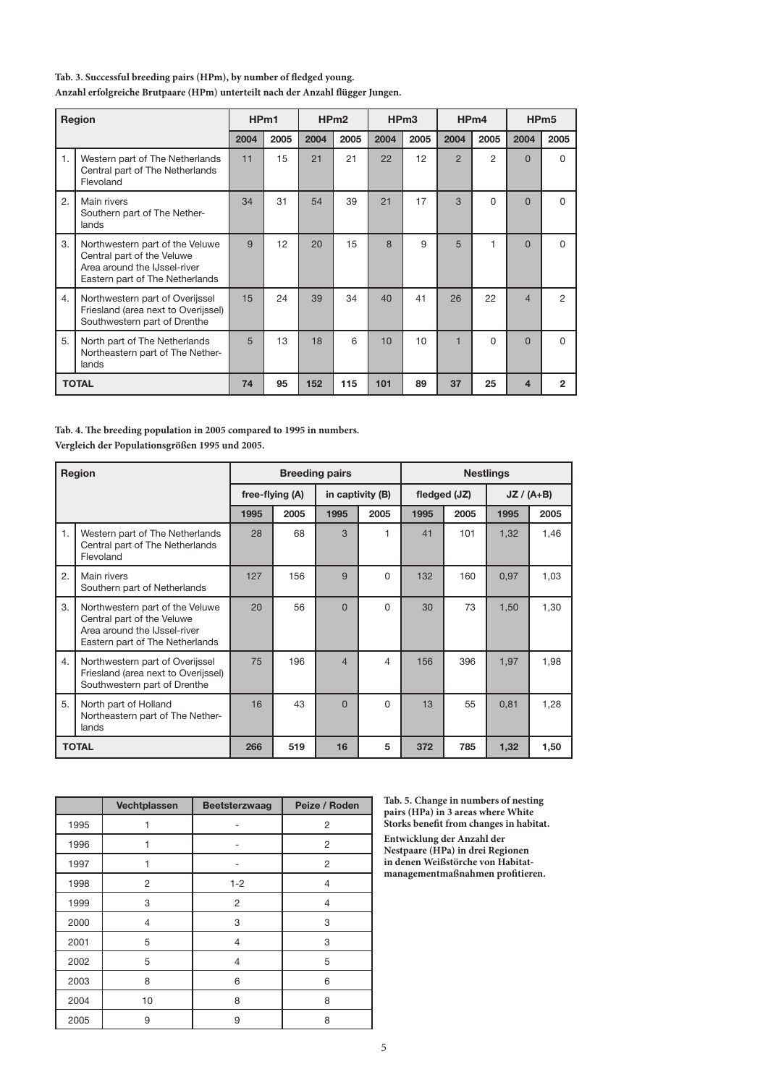#### **Tab. 3. Successful breeding pairs (HPm), by number of fledged young.**

**Anzahl erfolgreiche Brutpaare (HPm) unterteilt nach der Anzahl flügger Jungen.**

| Region       |                                                                                                                                  | HP <sub>m1</sub> |      | HP <sub>m2</sub> |      | HP <sub>m3</sub> |      | HP <sub>m4</sub>        |          | HP <sub>m5</sub> |                |
|--------------|----------------------------------------------------------------------------------------------------------------------------------|------------------|------|------------------|------|------------------|------|-------------------------|----------|------------------|----------------|
|              |                                                                                                                                  | 2004             | 2005 | 2004             | 2005 | 2004             | 2005 | 2004                    | 2005     | 2004             | 2005           |
| 1.           | Western part of The Netherlands<br>Central part of The Netherlands<br>Flevoland                                                  | 11               | 15   | 21               | 21   | 22               | 12   | $\overline{2}$          | 2        | $\Omega$         | 0              |
| 2.           | Main rivers<br>Southern part of The Nether-<br>lands                                                                             | 34               | 31   | 54               | 39   | 21               | 17   | 3                       | $\Omega$ | $\Omega$         | U              |
| 3.           | Northwestern part of the Veluwe<br>Central part of the Veluwe<br>Area around the IJssel-river<br>Eastern part of The Netherlands | 9                | 12   | 20               | 15   | 8                | 9    | 5                       | 1        | $\overline{0}$   | 0              |
| 4.           | Northwestern part of Overijssel<br>Friesland (area next to Overijssel)<br>Southwestern part of Drenthe                           | 15               | 24   | 39               | 34   | 40               | 41   | 26                      | 22       | $\overline{4}$   | $\mathfrak{p}$ |
| 5.           | North part of The Netherlands<br>Northeastern part of The Nether-<br>lands                                                       | 5                | 13   | 18               | 6    | 10               | 10   | $\overline{\mathbf{1}}$ | $\Omega$ | $\overline{0}$   | $\Omega$       |
| <b>TOTAL</b> |                                                                                                                                  | 74               | 95   | 152              | 115  | 101              | 89   | 37                      | 25       | 4                | 2              |

**Tab. 4. The breeding population in 2005 compared to 1995 in numbers. Vergleich der Populationsgrößen 1995 und 2005.**

| Region       |                                                                                                                                  |                 |      | <b>Breeding pairs</b> |                  | <b>Nestlings</b> |              |              |      |  |  |
|--------------|----------------------------------------------------------------------------------------------------------------------------------|-----------------|------|-----------------------|------------------|------------------|--------------|--------------|------|--|--|
|              |                                                                                                                                  | free-flying (A) |      |                       | in captivity (B) |                  | fledged (JZ) | $JZ / (A+B)$ |      |  |  |
|              |                                                                                                                                  | 1995            | 2005 | 1995                  | 2005             | 1995             | 2005         | 1995         | 2005 |  |  |
| 1.           | Western part of The Netherlands<br>Central part of The Netherlands<br>Flevoland                                                  | 28              | 68   | 3                     | 1                | 41               | 101          | 1,32         | 1,46 |  |  |
| 2.           | Main rivers<br>Southern part of Netherlands                                                                                      | 127             | 156  | 9                     | $\Omega$         | 132              | 160          | 0.97         | 1,03 |  |  |
| 3.           | Northwestern part of the Veluwe<br>Central part of the Veluwe<br>Area around the IJssel-river<br>Eastern part of The Netherlands | 20              | 56   | $\Omega$              | 0                | 30               | 73           | 1,50         | 1,30 |  |  |
| 4.           | Northwestern part of Overijssel<br>Friesland (area next to Overijssel)<br>Southwestern part of Drenthe                           | 75              | 196  | $\overline{4}$        | 4                | 156              | 396          | 1,97         | 1,98 |  |  |
| 5.           | North part of Holland<br>Northeastern part of The Nether-<br>lands                                                               | 16              | 43   | $\Omega$              | $\Omega$         | 13               | 55           | 0,81         | 1,28 |  |  |
| <b>TOTAL</b> |                                                                                                                                  | 266             | 519  | 16                    | 5                | 372              | 785          | 1,32         | 1,50 |  |  |

|      | Vechtplassen   | <b>Beetsterzwaag</b> | Peize / Roden  |
|------|----------------|----------------------|----------------|
| 1995 | 1              |                      | $\overline{c}$ |
| 1996 | 1              |                      | $\overline{c}$ |
| 1997 | 1              |                      | $\overline{c}$ |
| 1998 | $\overline{2}$ | $1 - 2$              | $\overline{4}$ |
| 1999 | 3              | $\overline{2}$       | $\overline{4}$ |
| 2000 | 4              | 3                    | 3              |
| 2001 | 5              | $\overline{4}$       | 3              |
| 2002 | 5              | $\overline{4}$       | 5              |
| 2003 | 8              | 6                    | 6              |
| 2004 | 10             | 8                    | 8              |
| 2005 | 9              | 9                    | 8              |

**Tab. 5. Change in numbers of nesting pairs (HPa) in 3 areas where White Storks benefit from changes in habitat. Entwicklung der Anzahl der Nestpaare (HPa) in drei Regionen in denen Weißstörche von Habitatmanagementmaßnahmen profitieren.**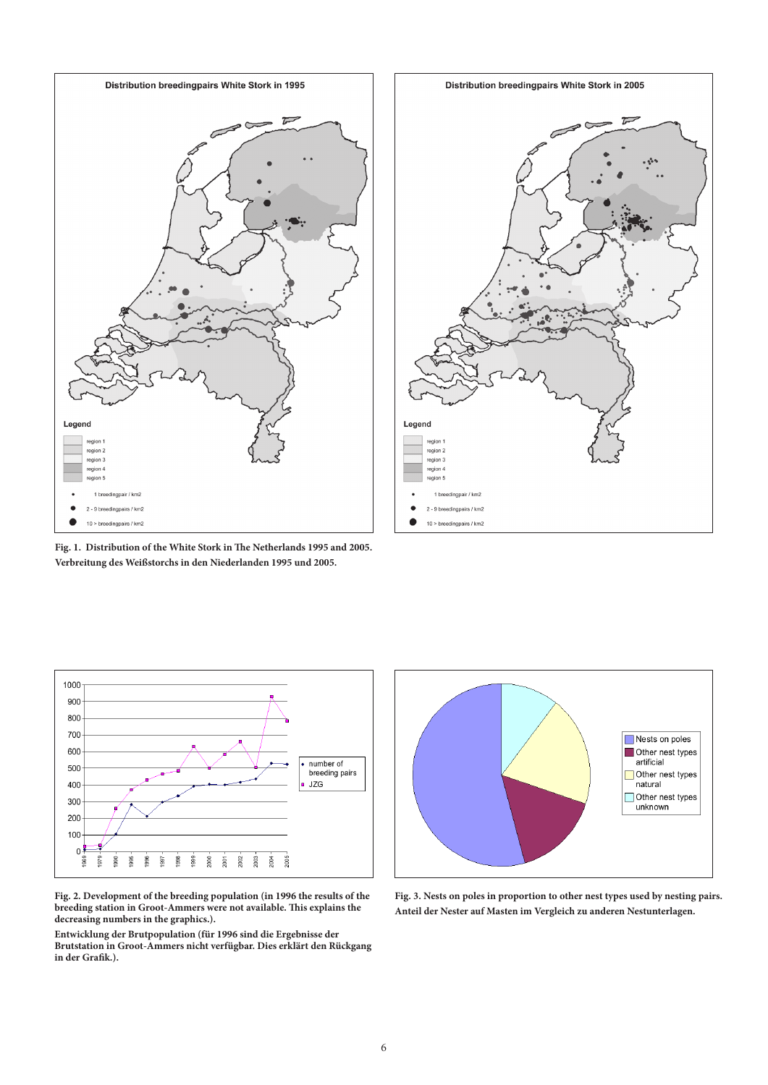







**Fig. 2. Development of the breeding population (in 1996 the results of the breeding station in Groot-Ammers were not available. This explains the decreasing numbers in the graphics.).**

**Entwicklung der Brutpopulation (für 1996 sind die Ergebnisse der Brutstation in Groot-Ammers nicht verfügbar. Dies erklärt den Rückgang in der Grafik.).**



**Fig. 3. Nests on poles in proportion to other nest types used by nesting pairs. Anteil der Nester auf Masten im Vergleich zu anderen Nestunterlagen.**